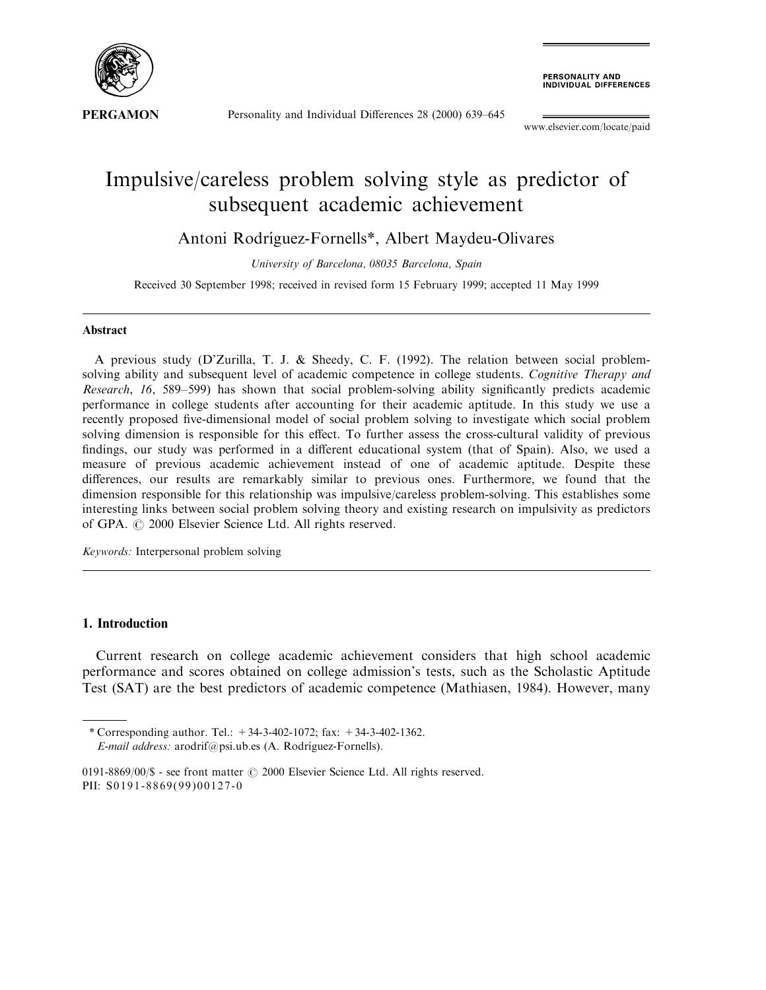

Personality and Individual Differences 28 (2000) 639-645

**PERSONALITY AND<br>INDIVIDUAL DIFFERENCES** 

www.elsevier.com/locate/paid

## Impulsive/careless problem solving style as predictor of subsequent academic achievement

Antoni Rodríguez-Fornells\*, Albert Maydeu-Olivares

University of Barcelona, 08035 Barcelona, Spain

Received 30 September 1998; received in revised form 15 February 1999; accepted 11 May 1999

## Abstract

A previous study (D'Zurilla, T. J. & Sheedy, C. F. (1992). The relation between social problemsolving ability and subsequent level of academic competence in college students. Cognitive Therapy and Research, 16, 589-599) has shown that social problem-solving ability significantly predicts academic performance in college students after accounting for their academic aptitude. In this study we use a recently proposed five-dimensional model of social problem solving to investigate which social problem solving dimension is responsible for this effect. To further assess the cross-cultural validity of previous findings, our study was performed in a different educational system (that of Spain). Also, we used a measure of previous academic achievement instead of one of academic aptitude. Despite these differences, our results are remarkably similar to previous ones. Furthermore, we found that the dimension responsible for this relationship was impulsive/careless problem-solving. This establishes some interesting links between social problem solving theory and existing research on impulsivity as predictors of GPA.  $\odot$  2000 Elsevier Science Ltd. All rights reserved.

Keywords: Interpersonal problem solving

## 1. Introduction

Current research on college academic achievement considers that high school academic performance and scores obtained on college admission's tests, such as the Scholastic Aptitude Test (SAT) are the best predictors of academic competence (Mathiasen, 1984). However, many

<sup>\*</sup> Corresponding author. Tel.:  $+34-3-402-1072$ ; fax:  $+34-3-402-1362$ .

E-mail address: arodrif@psi.ub.es (A. Rodríguez-Fornells).

<sup>0191-8869/00/\$ -</sup> see front matter  $\odot$  2000 Elsevier Science Ltd. All rights reserved. PII: S0191-8869(99)00127-0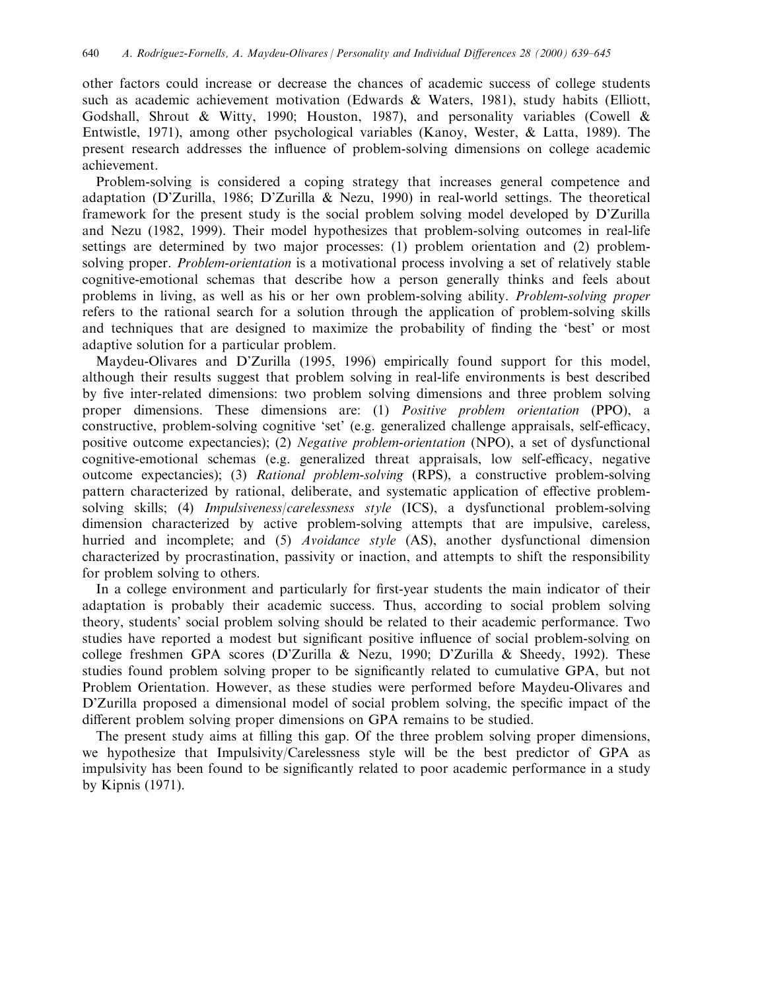other factors could increase or decrease the chances of academic success of college students such as academic achievement motivation (Edwards & Waters, 1981), study habits (Elliott, Godshall, Shrout & Witty, 1990; Houston, 1987), and personality variables (Cowell & Entwistle, 1971), among other psychological variables (Kanoy, Wester, & Latta, 1989). The present research addresses the influence of problem-solving dimensions on college academic achievement.

Problem-solving is considered a coping strategy that increases general competence and adaptation (D'Zurilla, 1986; D'Zurilla & Nezu, 1990) in real-world settings. The theoretical framework for the present study is the social problem solving model developed by D'Zurilla and Nezu (1982, 1999). Their model hypothesizes that problem-solving outcomes in real-life settings are determined by two major processes: (1) problem orientation and (2) problemsolving proper. *Problem-orientation* is a motivational process involving a set of relatively stable cognitive-emotional schemas that describe how a person generally thinks and feels about problems in living, as well as his or her own problem-solving ability. Problem-solving proper refers to the rational search for a solution through the application of problem-solving skills and techniques that are designed to maximize the probability of finding the 'best' or most adaptive solution for a particular problem.

Maydeu-Olivares and D'Zurilla (1995, 1996) empirically found support for this model, although their results suggest that problem solving in real-life environments is best described by five inter-related dimensions: two problem solving dimensions and three problem solving proper dimensions. These dimensions are: (1) Positive problem orientation (PPO), a constructive, problem-solving cognitive 'set' (e.g. generalized challenge appraisals, self-efficacy, positive outcome expectancies); (2) Negative problem-orientation (NPO), a set of dysfunctional cognitive-emotional schemas (e.g. generalized threat appraisals, low self-efficacy, negative outcome expectancies); (3) Rational problem-solving (RPS), a constructive problem-solving pattern characterized by rational, deliberate, and systematic application of effective problemsolving skills; (4) *Impulsiveness/carelessness style* (ICS), a dysfunctional problem-solving dimension characterized by active problem-solving attempts that are impulsive, careless, hurried and incomplete; and (5) Avoidance style (AS), another dysfunctional dimension characterized by procrastination, passivity or inaction, and attempts to shift the responsibility for problem solving to others.

In a college environment and particularly for first-year students the main indicator of their adaptation is probably their academic success. Thus, according to social problem solving theory, students' social problem solving should be related to their academic performance. Two studies have reported a modest but significant positive influence of social problem-solving on college freshmen GPA scores (D'Zurilla & Nezu, 1990; D'Zurilla & Sheedy, 1992). These studies found problem solving proper to be significantly related to cumulative GPA, but not Problem Orientation. However, as these studies were performed before Maydeu-Olivares and D'Zurilla proposed a dimensional model of social problem solving, the specific impact of the different problem solving proper dimensions on GPA remains to be studied.

The present study aims at filling this gap. Of the three problem solving proper dimensions, we hypothesize that Impulsivity/Carelessness style will be the best predictor of GPA as impulsivity has been found to be significantly related to poor academic performance in a study by Kipnis (1971).